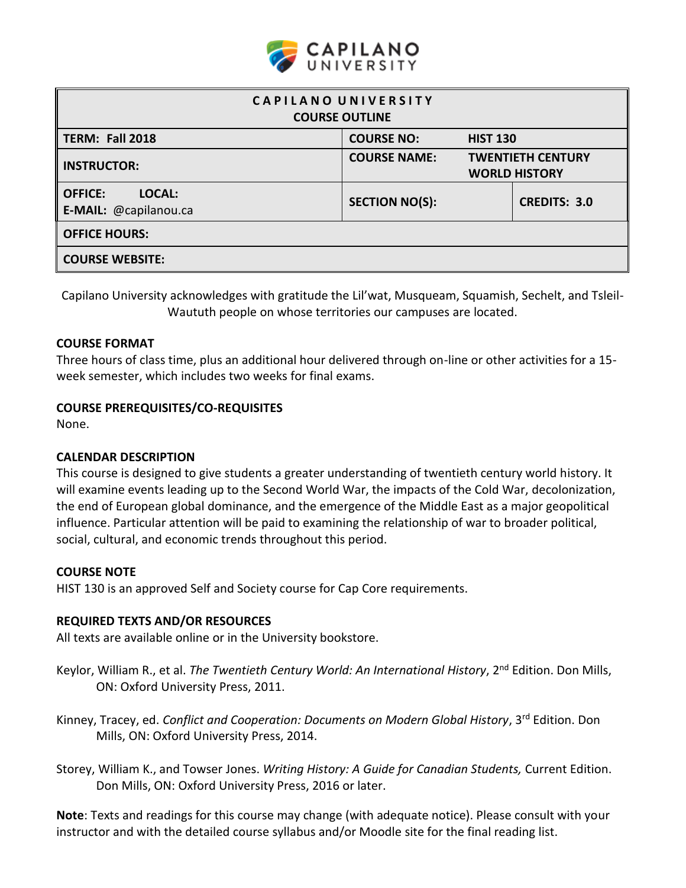

| CAPILANO UNIVERSITY<br><b>COURSE OUTLINE</b>      |                                                                         |                     |  |  |  |
|---------------------------------------------------|-------------------------------------------------------------------------|---------------------|--|--|--|
| TERM: Fall 2018                                   | <b>COURSE NO:</b>                                                       | <b>HIST 130</b>     |  |  |  |
| <b>INSTRUCTOR:</b>                                | <b>COURSE NAME:</b><br><b>TWENTIETH CENTURY</b><br><b>WORLD HISTORY</b> |                     |  |  |  |
| LOCAL:<br><b>OFFICE:</b><br>E-MAIL: @capilanou.ca | <b>SECTION NO(S):</b>                                                   | <b>CREDITS: 3.0</b> |  |  |  |
| <b>OFFICE HOURS:</b>                              |                                                                         |                     |  |  |  |
| <b>COURSE WEBSITE:</b>                            |                                                                         |                     |  |  |  |

Capilano University acknowledges with gratitude the Lil'wat, Musqueam, Squamish, Sechelt, and Tsleil-Waututh people on whose territories our campuses are located.

#### **COURSE FORMAT**

Three hours of class time, plus an additional hour delivered through on-line or other activities for a 15 week semester, which includes two weeks for final exams.

### **COURSE PREREQUISITES/CO-REQUISITES**

None.

### **CALENDAR DESCRIPTION**

This course is designed to give students a greater understanding of twentieth century world history. It will examine events leading up to the Second World War, the impacts of the Cold War, decolonization, the end of European global dominance, and the emergence of the Middle East as a major geopolitical influence. Particular attention will be paid to examining the relationship of war to broader political, social, cultural, and economic trends throughout this period.

#### **COURSE NOTE**

HIST 130 is an approved Self and Society course for Cap Core requirements.

#### **REQUIRED TEXTS AND/OR RESOURCES**

All texts are available online or in the University bookstore.

- Keylor, William R., et al. The Twentieth Century World: An International History, 2<sup>nd</sup> Edition. Don Mills, ON: Oxford University Press, 2011.
- Kinney, Tracey, ed. *Conflict and Cooperation: Documents on Modern Global History*, 3<sup>rd</sup> Edition. Don Mills, ON: Oxford University Press, 2014.
- Storey, William K., and Towser Jones. *Writing History: A Guide for Canadian Students,* Current Edition. Don Mills, ON: Oxford University Press, 2016 or later.

**Note**: Texts and readings for this course may change (with adequate notice). Please consult with your instructor and with the detailed course syllabus and/or Moodle site for the final reading list.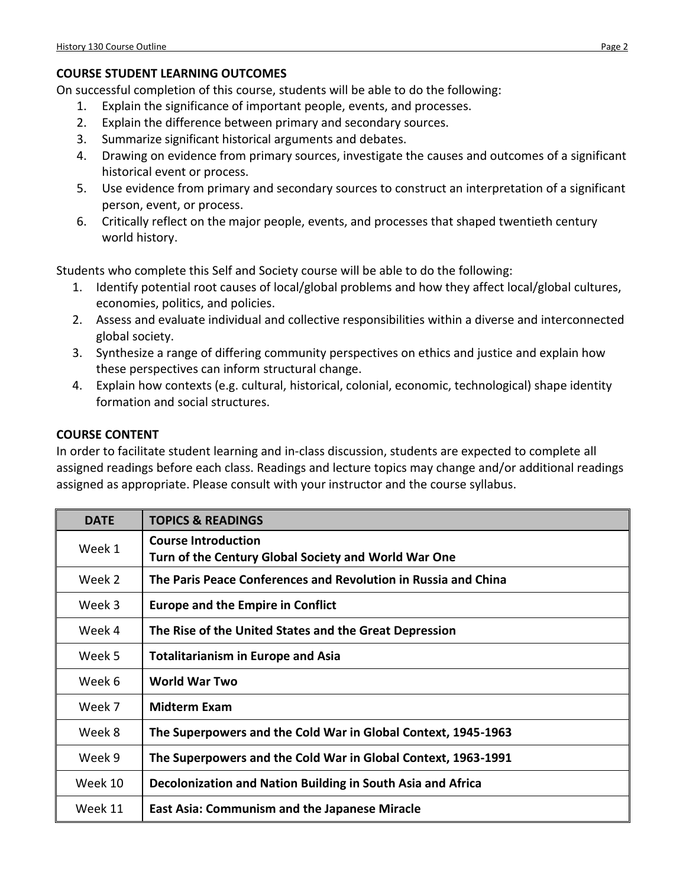# **COURSE STUDENT LEARNING OUTCOMES**

On successful completion of this course, students will be able to do the following:

- 1. Explain the significance of important people, events, and processes.
- 2. Explain the difference between primary and secondary sources.
- 3. Summarize significant historical arguments and debates.
- 4. Drawing on evidence from primary sources, investigate the causes and outcomes of a significant historical event or process.
- 5. Use evidence from primary and secondary sources to construct an interpretation of a significant person, event, or process.
- 6. Critically reflect on the major people, events, and processes that shaped twentieth century world history.

Students who complete this Self and Society course will be able to do the following:

- 1. Identify potential root causes of local/global problems and how they affect local/global cultures, economies, politics, and policies.
- 2. Assess and evaluate individual and collective responsibilities within a diverse and interconnected global society.
- 3. Synthesize a range of differing community perspectives on ethics and justice and explain how these perspectives can inform structural change.
- 4. Explain how contexts (e.g. cultural, historical, colonial, economic, technological) shape identity formation and social structures.

## **COURSE CONTENT**

In order to facilitate student learning and in-class discussion, students are expected to complete all assigned readings before each class. Readings and lecture topics may change and/or additional readings assigned as appropriate. Please consult with your instructor and the course syllabus.

| <b>DATE</b> | <b>TOPICS &amp; READINGS</b>                                   |
|-------------|----------------------------------------------------------------|
| Week 1      | <b>Course Introduction</b>                                     |
|             | Turn of the Century Global Society and World War One           |
| Week 2      | The Paris Peace Conferences and Revolution in Russia and China |
| Week 3      | <b>Europe and the Empire in Conflict</b>                       |
| Week 4      | The Rise of the United States and the Great Depression         |
| Week 5      | <b>Totalitarianism in Europe and Asia</b>                      |
| Week 6      | World War Two                                                  |
| Week 7      | <b>Midterm Exam</b>                                            |
| Week 8      | The Superpowers and the Cold War in Global Context, 1945-1963  |
| Week 9      | The Superpowers and the Cold War in Global Context, 1963-1991  |
| Week 10     | Decolonization and Nation Building in South Asia and Africa    |
| Week 11     | <b>East Asia: Communism and the Japanese Miracle</b>           |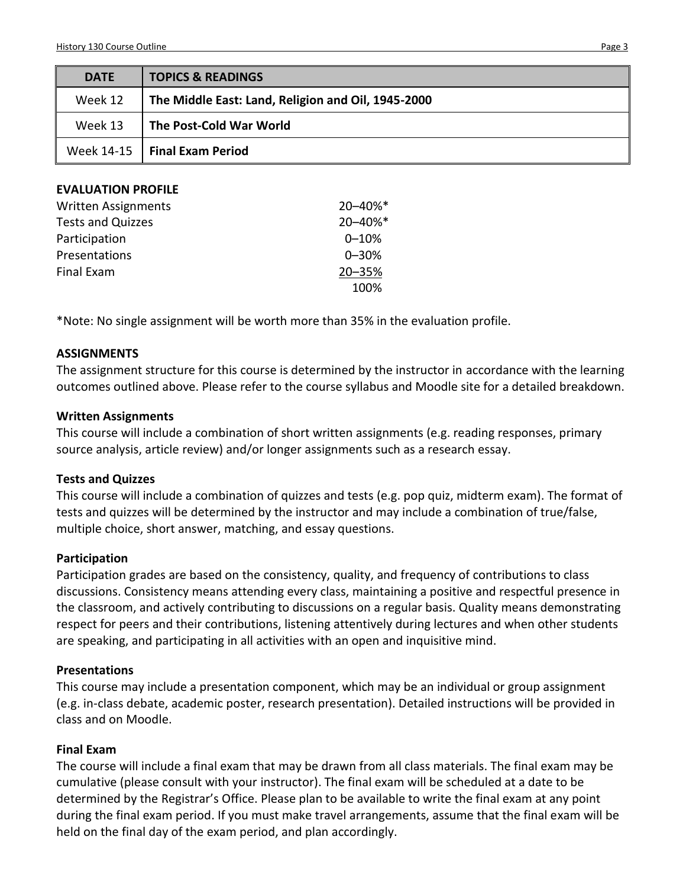| <b>DATE</b> | <b>TOPICS &amp; READINGS</b>                       |
|-------------|----------------------------------------------------|
| Week 12     | The Middle East: Land, Religion and Oil, 1945-2000 |
| Week 13     | The Post-Cold War World                            |
|             | Week $14-15$   Final Exam Period                   |
|             |                                                    |

| <b>EVALUATION PROFILE</b> |  |
|---------------------------|--|
|---------------------------|--|

| <b>Written Assignments</b> | 20-40%*   |
|----------------------------|-----------|
| <b>Tests and Quizzes</b>   | 20-40%*   |
| Participation              | $0 - 10%$ |
| Presentations              | $0 - 30%$ |
| Final Exam                 | 20-35%    |
|                            | 100%      |

\*Note: No single assignment will be worth more than 35% in the evaluation profile.

#### **ASSIGNMENTS**

The assignment structure for this course is determined by the instructor in accordance with the learning outcomes outlined above. Please refer to the course syllabus and Moodle site for a detailed breakdown.

#### **Written Assignments**

This course will include a combination of short written assignments (e.g. reading responses, primary source analysis, article review) and/or longer assignments such as a research essay.

### **Tests and Quizzes**

This course will include a combination of quizzes and tests (e.g. pop quiz, midterm exam). The format of tests and quizzes will be determined by the instructor and may include a combination of true/false, multiple choice, short answer, matching, and essay questions.

### **Participation**

Participation grades are based on the consistency, quality, and frequency of contributions to class discussions. Consistency means attending every class, maintaining a positive and respectful presence in the classroom, and actively contributing to discussions on a regular basis. Quality means demonstrating respect for peers and their contributions, listening attentively during lectures and when other students are speaking, and participating in all activities with an open and inquisitive mind.

#### **Presentations**

This course may include a presentation component, which may be an individual or group assignment (e.g. in-class debate, academic poster, research presentation). Detailed instructions will be provided in class and on Moodle.

### **Final Exam**

The course will include a final exam that may be drawn from all class materials. The final exam may be cumulative (please consult with your instructor). The final exam will be scheduled at a date to be determined by the Registrar's Office. Please plan to be available to write the final exam at any point during the final exam period. If you must make travel arrangements, assume that the final exam will be held on the final day of the exam period, and plan accordingly.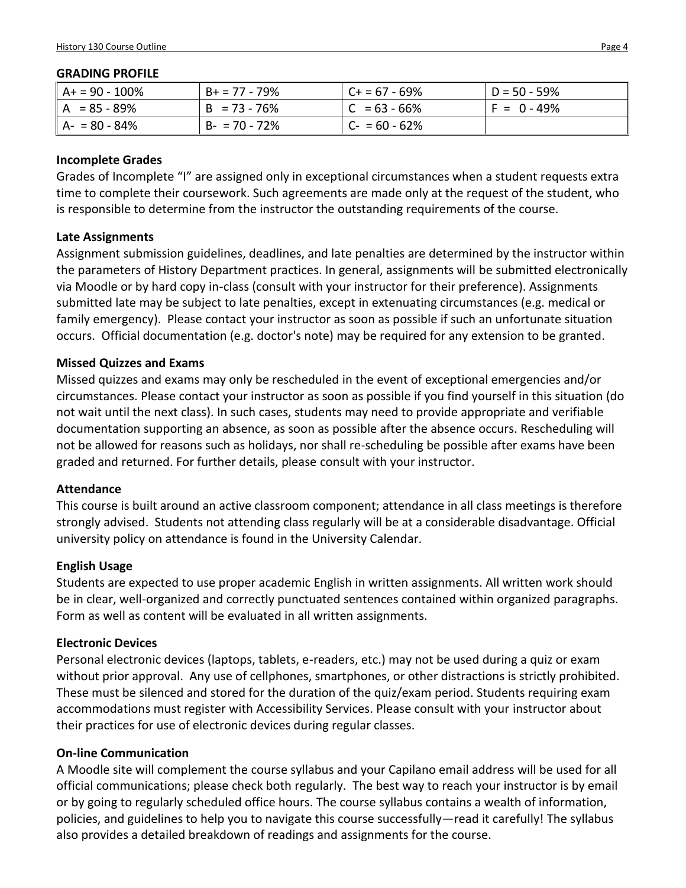#### **GRADING PROFILE**

| $A + 90 - 100\%$ | $B+ = 77 - 79\%$ | $C + 57 - 69%$  | $D = 50 - 59\%$ |
|------------------|------------------|-----------------|-----------------|
| $A = 85 - 89%$   | $B = 73 - 76%$   | $ C = 63 - 66%$ | $F = 0 - 49%$   |
| $A - 80 - 84%$   | $B - 70 - 72%$   | $ C- = 60-62\%$ |                 |

### **Incomplete Grades**

Grades of Incomplete "I" are assigned only in exceptional circumstances when a student requests extra time to complete their coursework. Such agreements are made only at the request of the student, who is responsible to determine from the instructor the outstanding requirements of the course.

### **Late Assignments**

Assignment submission guidelines, deadlines, and late penalties are determined by the instructor within the parameters of History Department practices. In general, assignments will be submitted electronically via Moodle or by hard copy in-class (consult with your instructor for their preference). Assignments submitted late may be subject to late penalties, except in extenuating circumstances (e.g. medical or family emergency). Please contact your instructor as soon as possible if such an unfortunate situation occurs. Official documentation (e.g. doctor's note) may be required for any extension to be granted.

### **Missed Quizzes and Exams**

Missed quizzes and exams may only be rescheduled in the event of exceptional emergencies and/or circumstances. Please contact your instructor as soon as possible if you find yourself in this situation (do not wait until the next class). In such cases, students may need to provide appropriate and verifiable documentation supporting an absence, as soon as possible after the absence occurs. Rescheduling will not be allowed for reasons such as holidays, nor shall re-scheduling be possible after exams have been graded and returned. For further details, please consult with your instructor.

### **Attendance**

This course is built around an active classroom component; attendance in all class meetings is therefore strongly advised. Students not attending class regularly will be at a considerable disadvantage. Official university policy on attendance is found in the University Calendar.

### **English Usage**

Students are expected to use proper academic English in written assignments. All written work should be in clear, well-organized and correctly punctuated sentences contained within organized paragraphs. Form as well as content will be evaluated in all written assignments.

### **Electronic Devices**

Personal electronic devices (laptops, tablets, e-readers, etc.) may not be used during a quiz or exam without prior approval. Any use of cellphones, smartphones, or other distractions is strictly prohibited. These must be silenced and stored for the duration of the quiz/exam period. Students requiring exam accommodations must register with Accessibility Services. Please consult with your instructor about their practices for use of electronic devices during regular classes.

### **On-line Communication**

A Moodle site will complement the course syllabus and your Capilano email address will be used for all official communications; please check both regularly. The best way to reach your instructor is by email or by going to regularly scheduled office hours. The course syllabus contains a wealth of information, policies, and guidelines to help you to navigate this course successfully—read it carefully! The syllabus also provides a detailed breakdown of readings and assignments for the course.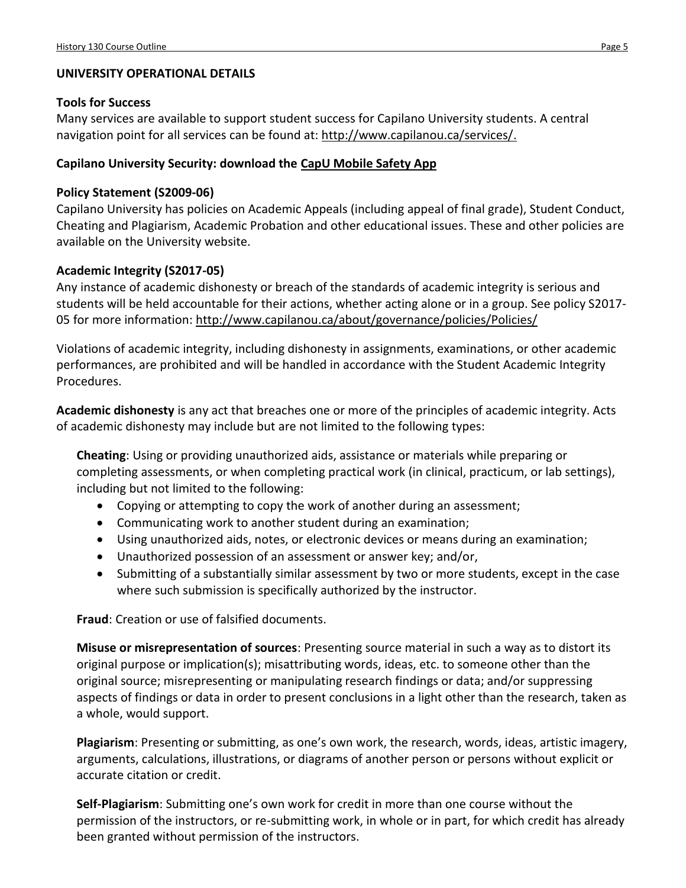## **UNIVERSITY OPERATIONAL DETAILS**

### **Tools for Success**

Many services are available to support student success for Capilano University students. A central navigation point for all services can be found at: [http://www.capilanou.ca/services/.](http://www.capilanou.ca/services/)

### **Capilano University Security: download the [CapU Mobile Safety App](https://www.capilanou.ca/services/safety-security/CapU-Mobile-Safety-App/)**

### **Policy Statement (S2009-06)**

Capilano University has policies on Academic Appeals (including appeal of final grade), Student Conduct, Cheating and Plagiarism, Academic Probation and other educational issues. These and other policies are available on the University website.

### **Academic Integrity (S2017-05)**

Any instance of academic dishonesty or breach of the standards of academic integrity is serious and students will be held accountable for their actions, whether acting alone or in a group. See policy S2017 05 for more information:<http://www.capilanou.ca/about/governance/policies/Policies/>

Violations of academic integrity, including dishonesty in assignments, examinations, or other academic performances, are prohibited and will be handled in accordance with the Student Academic Integrity Procedures.

**Academic dishonesty** is any act that breaches one or more of the principles of academic integrity. Acts of academic dishonesty may include but are not limited to the following types:

**Cheating**: Using or providing unauthorized aids, assistance or materials while preparing or completing assessments, or when completing practical work (in clinical, practicum, or lab settings), including but not limited to the following:

- Copying or attempting to copy the work of another during an assessment;
- Communicating work to another student during an examination;
- Using unauthorized aids, notes, or electronic devices or means during an examination;
- Unauthorized possession of an assessment or answer key; and/or,
- Submitting of a substantially similar assessment by two or more students, except in the case where such submission is specifically authorized by the instructor.

**Fraud**: Creation or use of falsified documents.

**Misuse or misrepresentation of sources**: Presenting source material in such a way as to distort its original purpose or implication(s); misattributing words, ideas, etc. to someone other than the original source; misrepresenting or manipulating research findings or data; and/or suppressing aspects of findings or data in order to present conclusions in a light other than the research, taken as a whole, would support.

**Plagiarism**: Presenting or submitting, as one's own work, the research, words, ideas, artistic imagery, arguments, calculations, illustrations, or diagrams of another person or persons without explicit or accurate citation or credit.

**Self-Plagiarism**: Submitting one's own work for credit in more than one course without the permission of the instructors, or re-submitting work, in whole or in part, for which credit has already been granted without permission of the instructors.